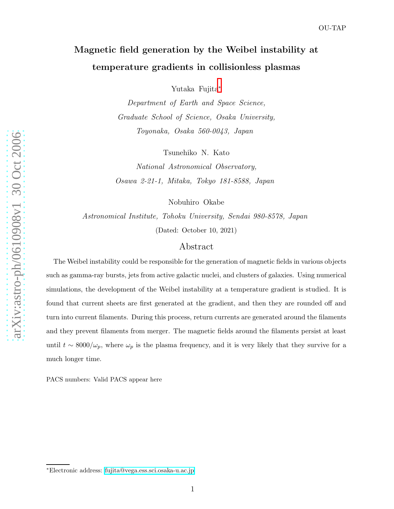# Magnetic field generation by the Weibel instability at temperature gradients in collisionless plasmas

Yutaka Fujita [∗](#page-0-0)

Department of Earth and Space Science, Graduate School of Science, Osaka University, Toyonaka, Osaka 560-0043, Japan

Tsunehiko N. Kato

National Astronomical Observatory, Osawa 2-21-1, Mitaka, Tokyo 181-8588, Japan

Nobuhiro Okabe

Astronomical Institute, Tohoku University, Sendai 980-8578, Japan (Dated: October 10, 2021)

# Abstract

The Weibel instability could be responsible for the generation of magnetic fields in various objects such as gamma-ray bursts, jets from active galactic nuclei, and clusters of galaxies. Using numerical simulations, the development of the Weibel instability at a temperature gradient is studied. It is found that current sheets are first generated at the gradient, and then they are rounded off and turn into current filaments. During this process, return currents are generated around the filaments and they prevent filaments from merger. The magnetic fields around the filaments persist at least until  $t \sim 8000/\omega_p$ , where  $\omega_p$  is the plasma frequency, and it is very likely that they survive for a much longer time.

PACS numbers: Valid PACS appear here

<span id="page-0-0"></span><sup>∗</sup>Electronic address: [fujita@vega.ess.sci.osaka-u.ac.jp](mailto:fujita@vega.ess.sci.osaka-u.ac.jp)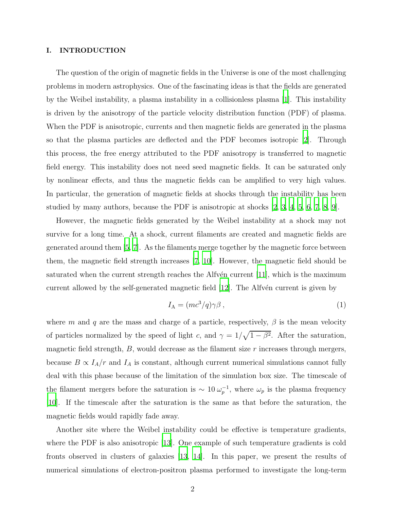### I. INTRODUCTION

The question of the origin of magnetic fields in the Universe is one of the most challenging problems in modern astrophysics. One of the fascinating ideas is that the fields are generated by the Weibel instability, a plasma instability in a collisionless plasma [\[1](#page-11-0)]. This instability is driven by the anisotropy of the particle velocity distribution function (PDF) of plasma. When the PDF is anisotropic, currents and then magnetic fields are generated in the plasma so that the plasma particles are deflected and the PDF becomes isotropic [\[2](#page-11-1)]. Through this process, the free energy attributed to the PDF anisotropy is transferred to magnetic field energy. This instability does not need seed magnetic fields. It can be saturated only by nonlinear effects, and thus the magnetic fields can be amplified to very high values. In particular, the generation of magnetic fields at shocks through the instability has been studied by many authors, because the PDF is anisotropic at shocks [\[2,](#page-11-1) [3,](#page-11-2) [4,](#page-11-3) [5,](#page-11-4) [6,](#page-11-5) [7,](#page-11-6) [8,](#page-11-7) [9\]](#page-11-8).

However, the magnetic fields generated by the Weibel instability at a shock may not survive for a long time. At a shock, current filaments are created and magnetic fields are generated around them [\[5,](#page-11-4) [7\]](#page-11-6). As the filaments merge together by the magnetic force between them, the magnetic field strength increases [\[7](#page-11-6), [10](#page-11-9)]. However, the magnetic field should be saturated when the current strength reaches the Alfvén current  $[11]$ , which is the maximum current allowed by the self-generated magnetic field  $[12]$ . The Alfv $\acute{e}$ n current is given by

$$
I_{\mathcal{A}} = (mc^3/q)\gamma\beta\,,\tag{1}
$$

where m and q are the mass and charge of a particle, respectively,  $\beta$  is the mean velocity of particles normalized by the speed of light c, and  $\gamma = 1/\sqrt{1-\beta^2}$ . After the saturation, magnetic field strength,  $B$ , would decrease as the filament size  $r$  increases through mergers, because  $B \propto I_A/r$  and  $I_A$  is constant, although current numerical simulations cannot fully deal with this phase because of the limitation of the simulation box size. The timescale of the filament mergers before the saturation is  $\sim 10 \,\omega_p^{-1}$  $_p^{-1}$ , where  $\omega_p$  is the plasma frequency [\[10](#page-11-9)]. If the timescale after the saturation is the same as that before the saturation, the magnetic fields would rapidly fade away.

Another site where the Weibel instability could be effective is temperature gradients, where the PDF is also anisotropic [\[13](#page-11-12)]. One example of such temperature gradients is cold fronts observed in clusters of galaxies [\[13](#page-11-12), [14](#page-11-13)]. In this paper, we present the results of numerical simulations of electron-positron plasma performed to investigate the long-term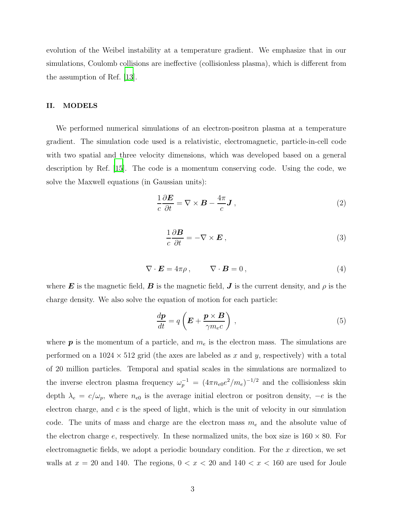evolution of the Weibel instability at a temperature gradient. We emphasize that in our simulations, Coulomb collisions are ineffective (collisionless plasma), which is different from the assumption of Ref. [\[13\]](#page-11-12).

## II. MODELS

We performed numerical simulations of an electron-positron plasma at a temperature gradient. The simulation code used is a relativistic, electromagnetic, particle-in-cell code with two spatial and three velocity dimensions, which was developed based on a general description by Ref. [\[15\]](#page-11-14). The code is a momentum conserving code. Using the code, we solve the Maxwell equations (in Gaussian units):

$$
\frac{1}{c}\frac{\partial E}{\partial t} = \nabla \times \boldsymbol{B} - \frac{4\pi}{c}\boldsymbol{J},\qquad(2)
$$

$$
\frac{1}{c}\frac{\partial \mathbf{B}}{\partial t} = -\nabla \times \mathbf{E} \,,\tag{3}
$$

$$
\nabla \cdot \boldsymbol{E} = 4\pi \rho \,, \qquad \nabla \cdot \boldsymbol{B} = 0 \,, \tag{4}
$$

where E is the magnetic field, B is the magnetic field, J is the current density, and  $\rho$  is the charge density. We also solve the equation of motion for each particle:

$$
\frac{d\mathbf{p}}{dt} = q\left(\mathbf{E} + \frac{\mathbf{p} \times \mathbf{B}}{\gamma m_e c}\right) ,\qquad (5)
$$

where  $p$  is the momentum of a particle, and  $m_e$  is the electron mass. The simulations are performed on a  $1024 \times 512$  grid (the axes are labeled as x and y, respectively) with a total of 20 million particles. Temporal and spatial scales in the simulations are normalized to the inverse electron plasma frequency  $\omega_p^{-1} = (4\pi n_{e0}e^2/m_e)^{-1/2}$  and the collisionless skin depth  $\lambda_e = c/\omega_p$ , where  $n_{e0}$  is the average initial electron or positron density,  $-e$  is the electron charge, and  $c$  is the speed of light, which is the unit of velocity in our simulation code. The units of mass and charge are the electron mass  $m_e$  and the absolute value of the electron charge e, respectively. In these normalized units, the box size is  $160 \times 80$ . For electromagnetic fields, we adopt a periodic boundary condition. For the  $x$  direction, we set walls at  $x = 20$  and 140. The regions,  $0 < x < 20$  and  $140 < x < 160$  are used for Joule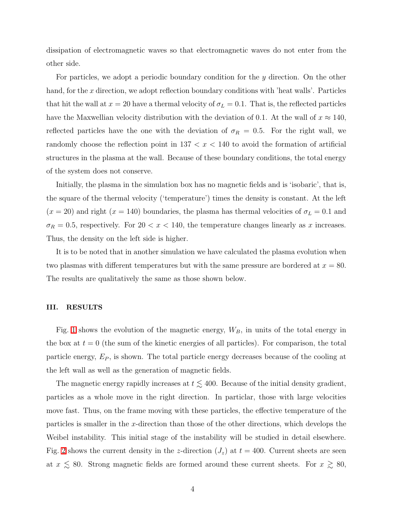dissipation of electromagnetic waves so that electromagnetic waves do not enter from the other side.

For particles, we adopt a periodic boundary condition for the y direction. On the other hand, for the x direction, we adopt reflection boundary conditions with 'heat walls'. Particles that hit the wall at  $x = 20$  have a thermal velocity of  $\sigma_L = 0.1$ . That is, the reflected particles have the Maxwellian velocity distribution with the deviation of 0.1. At the wall of  $x \approx 140$ , reflected particles have the one with the deviation of  $\sigma_R = 0.5$ . For the right wall, we randomly choose the reflection point in  $137 < x < 140$  to avoid the formation of artificial structures in the plasma at the wall. Because of these boundary conditions, the total energy of the system does not conserve.

Initially, the plasma in the simulation box has no magnetic fields and is 'isobaric', that is, the square of the thermal velocity ('temperature') times the density is constant. At the left  $(x = 20)$  and right  $(x = 140)$  boundaries, the plasma has thermal velocities of  $\sigma_L = 0.1$  and  $\sigma_R = 0.5$ , respectively. For  $20 < x < 140$ , the temperature changes linearly as x increases. Thus, the density on the left side is higher.

It is to be noted that in another simulation we have calculated the plasma evolution when two plasmas with different temperatures but with the same pressure are bordered at  $x = 80$ . The results are qualitatively the same as those shown below.

#### III. RESULTS

Fig. [1](#page-4-0) shows the evolution of the magnetic energy,  $W_B$ , in units of the total energy in the box at  $t = 0$  (the sum of the kinetic energies of all particles). For comparison, the total particle energy,  $E_P$ , is shown. The total particle energy decreases because of the cooling at the left wall as well as the generation of magnetic fields.

The magnetic energy rapidly increases at  $t \lesssim 400$ . Because of the initial density gradient, particles as a whole move in the right direction. In particlar, those with large velocities move fast. Thus, on the frame moving with these particles, the effective temperature of the particles is smaller in the x-direction than those of the other directions, which develops the Weibel instability. This initial stage of the instability will be studied in detail elsewhere. Fig. [2](#page-4-1) shows the current density in the z-direction  $(J_z)$  at  $t = 400$ . Current sheets are seen at  $x \lesssim 80$ . Strong magnetic fields are formed around these current sheets. For  $x \gtrsim 80$ ,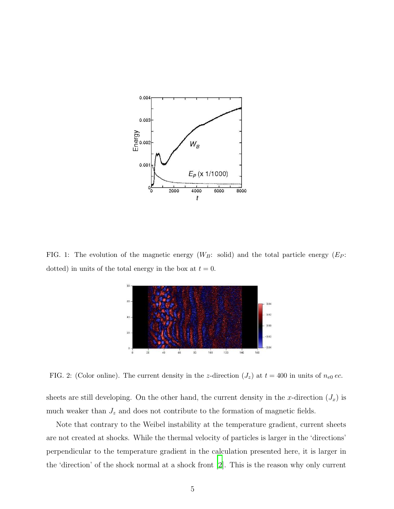

<span id="page-4-0"></span>FIG. 1: The evolution of the magnetic energy  $(W_B:$  solid) and the total particle energy  $(E_P:$ dotted) in units of the total energy in the box at  $t = 0$ .



<span id="page-4-1"></span>FIG. 2: (Color online). The current density in the z-direction  $(J_z)$  at  $t = 400$  in units of  $n_{e0}$  ec.

sheets are still developing. On the other hand, the current density in the x-direction  $(J_x)$  is much weaker than  $J_z$  and does not contribute to the formation of magnetic fields.

Note that contrary to the Weibel instability at the temperature gradient, current sheets are not created at shocks. While the thermal velocity of particles is larger in the 'directions' perpendicular to the temperature gradient in the calculation presented here, it is larger in the 'direction' of the shock normal at a shock front [\[2](#page-11-1)]. This is the reason why only current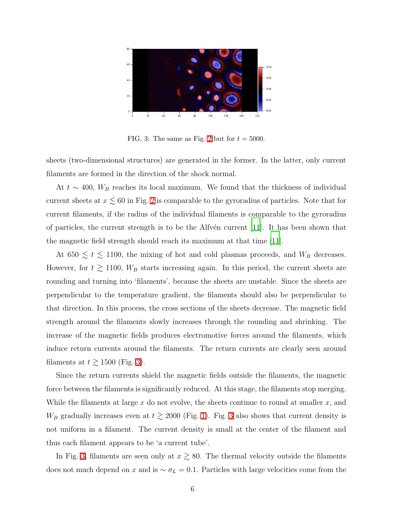

<span id="page-5-0"></span>FIG. 3: The same as Fig. [2](#page-4-1) but for  $t = 5000$ .

sheets (two-dimensional structures) are generated in the former. In the latter, only current filaments are formed in the direction of the shock normal.

At  $t \sim 400$ ,  $W_B$  reaches its local maximum. We found that the thickness of individual current sheets at  $x \lesssim 60$  in Fig. [2](#page-4-1) is comparable to the gyroradius of particles. Note that for current filaments, if the radius of the individual filaments is comparable to the gyroradius of particles, the current strength is to be the Alfvén current  $[11]$ . It has been shown that the magnetic field strength should reach its maximum at that time [\[11](#page-11-10)].

At 650  $\lesssim t \lesssim 1100$ , the mixing of hot and cold plasmas proceeds, and  $W_B$  decreases. However, for  $t \ge 1100$ ,  $W_B$  starts increasing again. In this period, the current sheets are rounding and turning into 'filaments', because the sheets are unstable. Since the sheets are perpendicular to the temperature gradient, the filaments should also be perpendicular to that direction. In this process, the cross sections of the sheets decrease. The magnetic field strength around the filaments slowly increases through the rounding and shrinking. The increase of the magnetic fields produces electromotive forces around the filaments, which induce return currents around the filaments. The return currents are clearly seen around filaments at  $t \gtrsim 1500$  (Fig. [3\)](#page-5-0).

Since the return currents shield the magnetic fields outside the filaments, the magnetic force between the filaments is significantly reduced. At this stage, the filaments stop merging. While the filaments at large  $x$  do not evolve, the sheets continue to round at smaller  $x$ , and  $W_B$  gradually increases even at  $t \gtrsim 2000$  (Fig. [1\)](#page-4-0). Fig. [3](#page-5-0) also shows that current density is not uniform in a filament. The current density is small at the center of the filament and thus each filament appears to be 'a current tube'.

In Fig. [3,](#page-5-0) filaments are seen only at  $x \ge 80$ . The thermal velocity outside the filaments does not much depend on x and is  $\sim \sigma_L = 0.1$ . Particles with large velocities come from the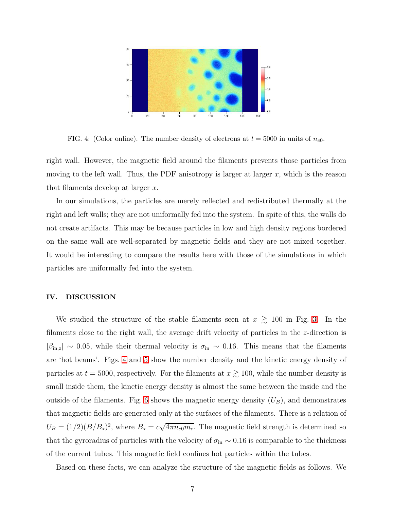

<span id="page-6-0"></span>FIG. 4: (Color online). The number density of electrons at  $t = 5000$  in units of  $n_{e0}$ .

right wall. However, the magnetic field around the filaments prevents those particles from moving to the left wall. Thus, the PDF anisotropy is larger at larger  $x$ , which is the reason that filaments develop at larger  $x$ .

In our simulations, the particles are merely reflected and redistributed thermally at the right and left walls; they are not uniformally fed into the system. In spite of this, the walls do not create artifacts. This may be because particles in low and high density regions bordered on the same wall are well-separated by magnetic fields and they are not mixed together. It would be interesting to compare the results here with those of the simulations in which particles are uniformally fed into the system.

### IV. DISCUSSION

We studied the structure of the stable filaments seen at  $x \geq 100$  in Fig. [3.](#page-5-0) In the filaments close to the right wall, the average drift velocity of particles in the z-direction is  $|\beta_{\rm in,z}| \sim 0.05$ , while their thermal velocity is  $\sigma_{\rm in} \sim 0.16$ . This means that the filaments are 'hot beams'. Figs. [4](#page-6-0) and [5](#page-7-0) show the number density and the kinetic energy density of particles at  $t = 5000$ , respectively. For the filaments at  $x \gtrsim 100$ , while the number density is small inside them, the kinetic energy density is almost the same between the inside and the outside of the filaments. Fig. [6](#page-7-1) shows the magnetic energy density  $(U_B)$ , and demonstrates that magnetic fields are generated only at the surfaces of the filaments. There is a relation of  $U_B = (1/2)(B/B_\star)^2$ , where  $B_\star = c\sqrt{4\pi n_{e0}m_e}$ . The magnetic field strength is determined so that the gyroradius of particles with the velocity of  $\sigma_{\rm in} \sim 0.16$  is comparable to the thickness of the current tubes. This magnetic field confines hot particles within the tubes.

Based on these facts, we can analyze the structure of the magnetic fields as follows. We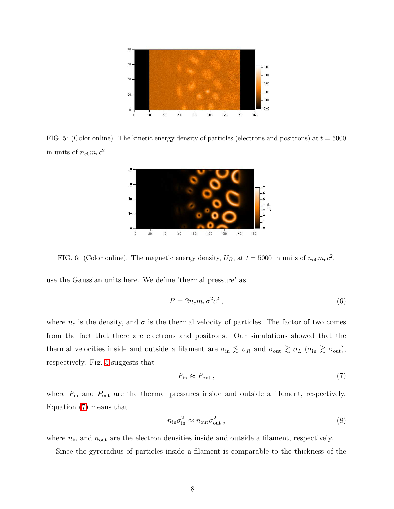

<span id="page-7-0"></span>FIG. 5: (Color online). The kinetic energy density of particles (electrons and positrons) at  $t = 5000$ in units of  $n_{e0}m_ec^2$ .



<span id="page-7-1"></span>FIG. 6: (Color online). The magnetic energy density,  $U_B$ , at  $t = 5000$  in units of  $n_{e0}m_ec^2$ .

use the Gaussian units here. We define 'thermal pressure' as

$$
P = 2n_e m_e \sigma^2 c^2 \,,\tag{6}
$$

<span id="page-7-2"></span>where  $n_e$  is the density, and  $\sigma$  is the thermal velocity of particles. The factor of two comes from the fact that there are electrons and positrons. Our simulations showed that the thermal velocities inside and outside a filament are  $\sigma_{\rm in} \lesssim \sigma_R$  and  $\sigma_{\rm out} \gtrsim \sigma_L$  ( $\sigma_{\rm in} \gtrsim \sigma_{\rm out}$ ), respectively. Fig. [5](#page-7-0) suggests that

$$
P_{\text{in}} \approx P_{\text{out}} \,,\tag{7}
$$

<span id="page-7-3"></span>where  $P_{\text{in}}$  and  $P_{\text{out}}$  are the thermal pressures inside and outside a filament, respectively. Equation [\(7\)](#page-7-2) means that

$$
n_{\rm in}\sigma_{\rm in}^2 \approx n_{\rm out}\sigma_{\rm out}^2\,,\tag{8}
$$

where  $n_{\text{in}}$  and  $n_{\text{out}}$  are the electron densities inside and outside a filament, respectively.

Since the gyroradius of particles inside a filament is comparable to the thickness of the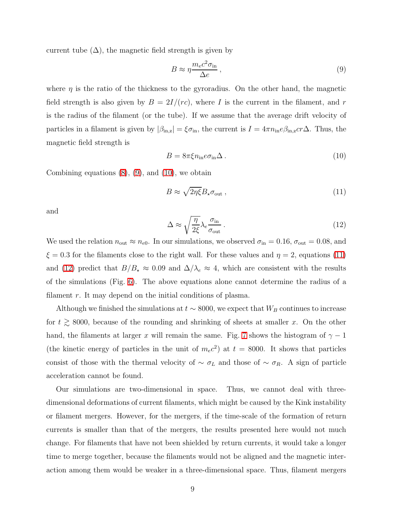current tube  $(\Delta)$ , the magnetic field strength is given by

<span id="page-8-0"></span>
$$
B \approx \eta \frac{m_e c^2 \sigma_{\rm in}}{\Delta e} \,,\tag{9}
$$

<span id="page-8-1"></span>where  $\eta$  is the ratio of the thickness to the gyroradius. On the other hand, the magnetic field strength is also given by  $B = 2I/(rc)$ , where I is the current in the filament, and r is the radius of the filament (or the tube). If we assume that the average drift velocity of particles in a filament is given by  $|\beta_{\text{in},z}| = \xi \sigma_{\text{in}}$ , the current is  $I = 4\pi n_{\text{in}} e \beta_{\text{in},z} c r \Delta$ . Thus, the magnetic field strength is

<span id="page-8-2"></span>
$$
B = 8\pi \xi n_{\rm in} e \sigma_{\rm in} \Delta \,. \tag{10}
$$

<span id="page-8-3"></span>Combining equations  $(8)$ ,  $(9)$ , and  $(10)$ , we obtain

$$
B \approx \sqrt{2\eta\xi} B_{\star}\sigma_{\text{out}}\,,\tag{11}
$$

and

$$
\Delta \approx \sqrt{\frac{\eta}{2\xi}} \lambda_e \frac{\sigma_{\text{in}}}{\sigma_{\text{out}}} \,. \tag{12}
$$

We used the relation  $n_{\text{out}} \approx n_{e0}$ . In our simulations, we observed  $\sigma_{\text{in}} = 0.16$ ,  $\sigma_{\text{out}} = 0.08$ , and  $\xi = 0.3$  for the filaments close to the right wall. For these values and  $\eta = 2$ , equations [\(11\)](#page-8-2) and [\(12\)](#page-8-3) predict that  $B/B_{\star} \approx 0.09$  and  $\Delta/\lambda_e \approx 4$ , which are consistent with the results of the simulations (Fig. [6\)](#page-7-1). The above equations alone cannot determine the radius of a filament  $r$ . It may depend on the initial conditions of plasma.

Although we finished the simulations at  $t \sim 8000$ , we expect that  $W_B$  continues to increase for  $t \gtrsim 8000$ , because of the rounding and shrinking of sheets at smaller x. On the other hand, the filaments at larger x will remain the same. Fig. [7](#page-9-0) shows the histogram of  $\gamma - 1$ (the kinetic energy of particles in the unit of  $m_ec^2$ ) at  $t = 8000$ . It shows that particles consist of those with the thermal velocity of  $\sim \sigma_L$  and those of  $\sim \sigma_R$ . A sign of particle acceleration cannot be found.

Our simulations are two-dimensional in space. Thus, we cannot deal with threedimensional deformations of current filaments, which might be caused by the Kink instability or filament mergers. However, for the mergers, if the time-scale of the formation of return currents is smaller than that of the mergers, the results presented here would not much change. For filaments that have not been shielded by return currents, it would take a longer time to merge together, because the filaments would not be aligned and the magnetic interaction among them would be weaker in a three-dimensional space. Thus, filament mergers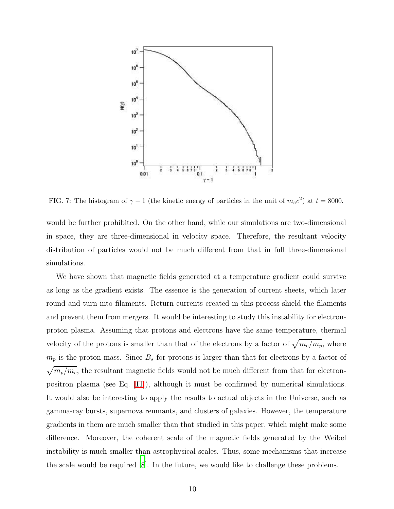

<span id="page-9-0"></span>FIG. 7: The histogram of  $\gamma - 1$  (the kinetic energy of particles in the unit of  $m_e c^2$ ) at  $t = 8000$ .

would be further prohibited. On the other hand, while our simulations are two-dimensional in space, they are three-dimensional in velocity space. Therefore, the resultant velocity distribution of particles would not be much different from that in full three-dimensional simulations.

We have shown that magnetic fields generated at a temperature gradient could survive as long as the gradient exists. The essence is the generation of current sheets, which later round and turn into filaments. Return currents created in this process shield the filaments and prevent them from mergers. It would be interesting to study this instability for electronproton plasma. Assuming that protons and electrons have the same temperature, thermal velocity of the protons is smaller than that of the electrons by a factor of  $\sqrt{m_e/m_p}$ , where  $m_p$  is the proton mass. Since  $B_{\star}$  for protons is larger than that for electrons by a factor of  $\sqrt{m_p/m_e}$ , the resultant magnetic fields would not be much different from that for electronpositron plasma (see Eq.  $|11|$ ), although it must be confirmed by numerical simulations. It would also be interesting to apply the results to actual objects in the Universe, such as gamma-ray bursts, supernova remnants, and clusters of galaxies. However, the temperature gradients in them are much smaller than that studied in this paper, which might make some difference. Moreover, the coherent scale of the magnetic fields generated by the Weibel instability is much smaller than astrophysical scales. Thus, some mechanisms that increase the scale would be required [\[8](#page-11-7)]. In the future, we would like to challenge these problems.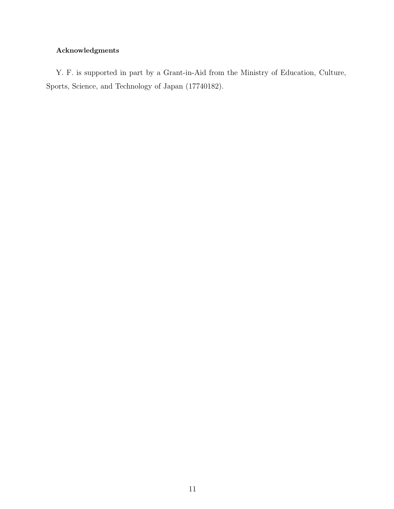# Acknowledgments

Y. F. is supported in part by a Grant-in-Aid from the Ministry of Education, Culture, Sports, Science, and Technology of Japan (17740182).